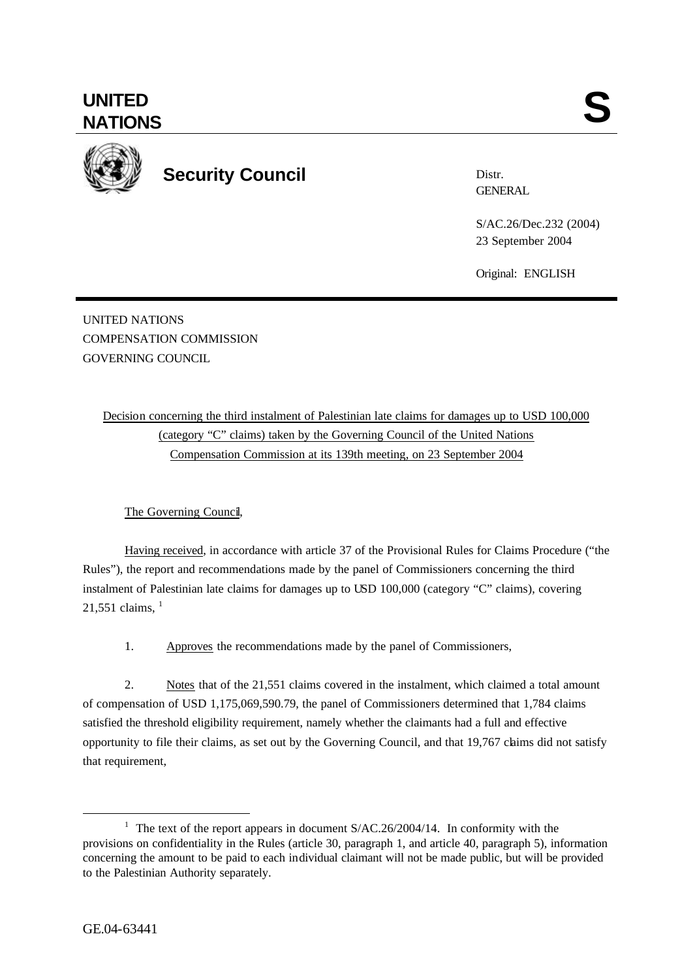**UNITED**

**Security Council**

Distr. **GENERAL** 

S/AC.26/Dec.232 (2004) 23 September 2004

Original: ENGLISH

UNITED NATIONS COMPENSATION COMMISSION GOVERNING COUNCIL

> Decision concerning the third instalment of Palestinian late claims for damages up to USD 100,000 (category "C" claims) taken by the Governing Council of the United Nations Compensation Commission at its 139th meeting, on 23 September 2004

## The Governing Council,

Having received, in accordance with article 37 of the Provisional Rules for Claims Procedure ("the Rules"), the report and recommendations made by the panel of Commissioners concerning the third instalment of Palestinian late claims for damages up to USD 100,000 (category "C" claims), covering  $21,551$  claims,  $^{1}$ 

1. Approves the recommendations made by the panel of Commissioners,

2. Notes that of the 21,551 claims covered in the instalment, which claimed a total amount of compensation of USD 1,175,069,590.79, the panel of Commissioners determined that 1,784 claims satisfied the threshold eligibility requirement, namely whether the claimants had a full and effective opportunity to file their claims, as set out by the Governing Council, and that 19,767 claims did not satisfy that requirement,

l

<sup>&</sup>lt;sup>1</sup> The text of the report appears in document  $S/AC.26/2004/14$ . In conformity with the provisions on confidentiality in the Rules (article 30, paragraph 1, and article 40, paragraph 5), information concerning the amount to be paid to each individual claimant will not be made public, but will be provided to the Palestinian Authority separately.